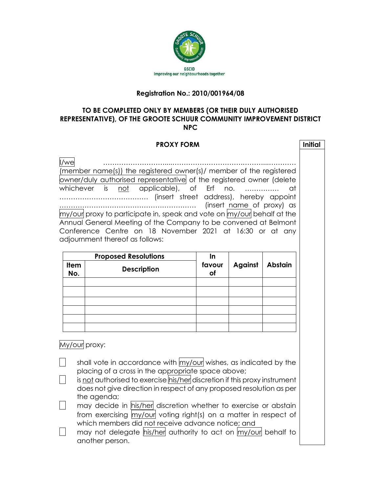

## **Registration No.: 2010/001964/08**

## **TO BE COMPLETED ONLY BY MEMBERS (OR THEIR DULY AUTHORISED REPRESENTATIVE), OF THE GROOTE SCHUUR COMMUNITY IMPROVEMENT DISTRICT NPC**

| <b>PROXY FORM</b>                                                                                                                                                                                                                                                                                                                                                                                                                                                                                                                          |                                                   |                              |                |                | <b>Initial</b> |
|--------------------------------------------------------------------------------------------------------------------------------------------------------------------------------------------------------------------------------------------------------------------------------------------------------------------------------------------------------------------------------------------------------------------------------------------------------------------------------------------------------------------------------------------|---------------------------------------------------|------------------------------|----------------|----------------|----------------|
| l/we<br>(member name(s)) the registered owner(s)/ member of the registered<br>owner/duly authorised representative of the registered owner (delete<br>whichever is not applicable), of Erf<br>no.<br>αt<br>(insert name of proxy) as<br>$\overline{a}$<br>$\mathsf{my}/\mathsf{out}$ proxy to participate in, speak and vote on $\mathsf{my}/\mathsf{out}$ behalf at the<br>Annual General Meeting of the Company to be convened at Belmont<br>Conference Centre on 18 November 2021 at 16:30 or at any<br>adjournment thereof as follows: |                                                   |                              |                |                |                |
| <b>Item</b><br>No.                                                                                                                                                                                                                                                                                                                                                                                                                                                                                                                         | <b>Proposed Resolutions</b><br><b>Description</b> | $\ln$<br>favour<br><b>of</b> | <b>Against</b> | <b>Abstain</b> |                |
|                                                                                                                                                                                                                                                                                                                                                                                                                                                                                                                                            |                                                   |                              |                |                |                |
|                                                                                                                                                                                                                                                                                                                                                                                                                                                                                                                                            |                                                   |                              |                |                |                |
| My/our proxy:                                                                                                                                                                                                                                                                                                                                                                                                                                                                                                                              |                                                   |                              |                |                |                |
| shall vote in accordance with my/our wishes, as indicated by the<br>placing of a cross in the appropriate space above;<br>is <u>not</u> authorised to exercise his/her discretion if this proxy instrument<br>does not give direction in respect of any proposed resolution as per<br>the agenda;                                                                                                                                                                                                                                          |                                                   |                              |                |                |                |

may decide in his/her discretion whether to exercise or abstain from exercising my/our voting right(s) on a matter in respect of which members did not receive advance notice; and

may not delegate his/her authority to act on my/our behalf to another person.